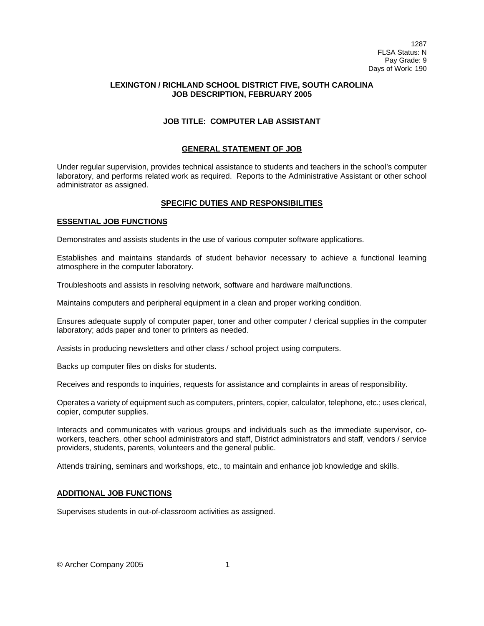# **LEXINGTON / RICHLAND SCHOOL DISTRICT FIVE, SOUTH CAROLINA JOB DESCRIPTION, FEBRUARY 2005**

# **JOB TITLE: COMPUTER LAB ASSISTANT**

### **GENERAL STATEMENT OF JOB**

Under regular supervision, provides technical assistance to students and teachers in the school's computer laboratory, and performs related work as required. Reports to the Administrative Assistant or other school administrator as assigned.

#### **SPECIFIC DUTIES AND RESPONSIBILITIES**

### **ESSENTIAL JOB FUNCTIONS**

Demonstrates and assists students in the use of various computer software applications.

Establishes and maintains standards of student behavior necessary to achieve a functional learning atmosphere in the computer laboratory.

Troubleshoots and assists in resolving network, software and hardware malfunctions.

Maintains computers and peripheral equipment in a clean and proper working condition.

Ensures adequate supply of computer paper, toner and other computer / clerical supplies in the computer laboratory; adds paper and toner to printers as needed.

Assists in producing newsletters and other class / school project using computers.

Backs up computer files on disks for students.

Receives and responds to inquiries, requests for assistance and complaints in areas of responsibility.

Operates a variety of equipment such as computers, printers, copier, calculator, telephone, etc.; uses clerical, copier, computer supplies.

Interacts and communicates with various groups and individuals such as the immediate supervisor, coworkers, teachers, other school administrators and staff, District administrators and staff, vendors / service providers, students, parents, volunteers and the general public.

Attends training, seminars and workshops, etc., to maintain and enhance job knowledge and skills.

### **ADDITIONAL JOB FUNCTIONS**

Supervises students in out-of-classroom activities as assigned.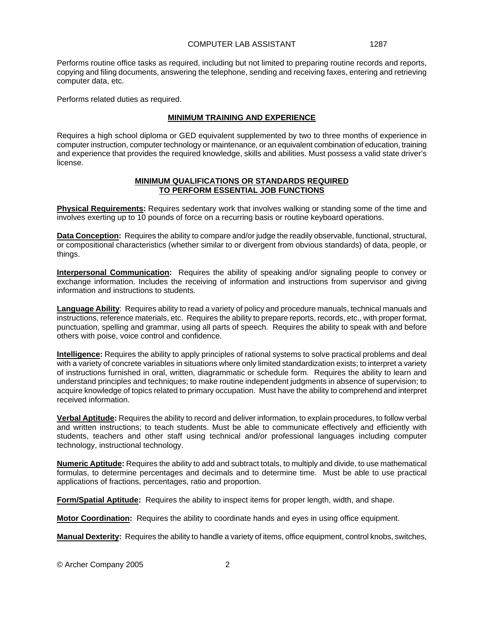Performs routine office tasks as required, including but not limited to preparing routine records and reports, copying and filing documents, answering the telephone, sending and receiving faxes, entering and retrieving computer data, etc.

Performs related duties as required.

# **MINIMUM TRAINING AND EXPERIENCE**

Requires a high school diploma or GED equivalent supplemented by two to three months of experience in computer instruction, computer technology or maintenance, or an equivalent combination of education, training and experience that provides the required knowledge, skills and abilities. Must possess a valid state driver's license.

#### **MINIMUM QUALIFICATIONS OR STANDARDS REQUIRED TO PERFORM ESSENTIAL JOB FUNCTIONS**

**Physical Requirements:** Requires sedentary work that involves walking or standing some of the time and involves exerting up to 10 pounds of force on a recurring basis or routine keyboard operations.

**Data Conception:** Requires the ability to compare and/or judge the readily observable, functional, structural, or compositional characteristics (whether similar to or divergent from obvious standards) of data, people, or things.

**Interpersonal Communication:** Requires the ability of speaking and/or signaling people to convey or exchange information. Includes the receiving of information and instructions from supervisor and giving information and instructions to students.

**Language Ability**: Requires ability to read a variety of policy and procedure manuals, technical manuals and instructions, reference materials, etc. Requires the ability to prepare reports, records, etc., with proper format, punctuation, spelling and grammar, using all parts of speech. Requires the ability to speak with and before others with poise, voice control and confidence.

**Intelligence:** Requires the ability to apply principles of rational systems to solve practical problems and deal with a variety of concrete variables in situations where only limited standardization exists; to interpret a variety of instructions furnished in oral, written, diagrammatic or schedule form. Requires the ability to learn and understand principles and techniques; to make routine independent judgments in absence of supervision; to acquire knowledge of topics related to primary occupation. Must have the ability to comprehend and interpret received information.

**Verbal Aptitude:** Requires the ability to record and deliver information, to explain procedures, to follow verbal and written instructions; to teach students. Must be able to communicate effectively and efficiently with students, teachers and other staff using technical and/or professional languages including computer technology, instructional technology.

**Numeric Aptitude:** Requires the ability to add and subtract totals, to multiply and divide, to use mathematical formulas, to determine percentages and decimals and to determine time. Must be able to use practical applications of fractions, percentages, ratio and proportion.

**Form/Spatial Aptitude:** Requires the ability to inspect items for proper length, width, and shape.

**Motor Coordination:** Requires the ability to coordinate hands and eyes in using office equipment.

**Manual Dexterity:** Requires the ability to handle a variety of items, office equipment, control knobs, switches,

© Archer Company 2005 2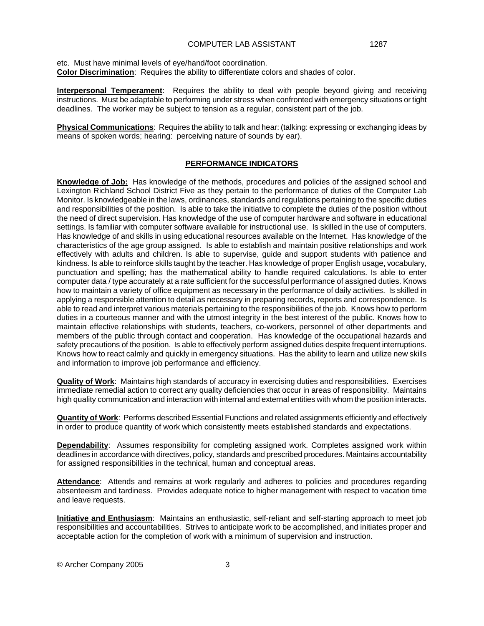etc. Must have minimal levels of eye/hand/foot coordination. **Color Discrimination**: Requires the ability to differentiate colors and shades of color.

**Interpersonal Temperament**: Requires the ability to deal with people beyond giving and receiving instructions. Must be adaptable to performing under stress when confronted with emergency situations or tight deadlines. The worker may be subject to tension as a regular, consistent part of the job.

**Physical Communications**: Requires the ability to talk and hear: (talking: expressing or exchanging ideas by means of spoken words; hearing: perceiving nature of sounds by ear).

#### **PERFORMANCE INDICATORS**

**Knowledge of Job:** Has knowledge of the methods, procedures and policies of the assigned school and Lexington Richland School District Five as they pertain to the performance of duties of the Computer Lab Monitor. Is knowledgeable in the laws, ordinances, standards and regulations pertaining to the specific duties and responsibilities of the position. Is able to take the initiative to complete the duties of the position without the need of direct supervision. Has knowledge of the use of computer hardware and software in educational settings. Is familiar with computer software available for instructional use. Is skilled in the use of computers. Has knowledge of and skills in using educational resources available on the Internet. Has knowledge of the characteristics of the age group assigned. Is able to establish and maintain positive relationships and work effectively with adults and children. Is able to supervise, guide and support students with patience and kindness. Is able to reinforce skills taught by the teacher. Has knowledge of proper English usage, vocabulary, punctuation and spelling; has the mathematical ability to handle required calculations. Is able to enter computer data / type accurately at a rate sufficient for the successful performance of assigned duties. Knows how to maintain a variety of office equipment as necessary in the performance of daily activities. Is skilled in applying a responsible attention to detail as necessary in preparing records, reports and correspondence. Is able to read and interpret various materials pertaining to the responsibilities of the job. Knows how to perform duties in a courteous manner and with the utmost integrity in the best interest of the public. Knows how to maintain effective relationships with students, teachers, co-workers, personnel of other departments and members of the public through contact and cooperation. Has knowledge of the occupational hazards and safety precautions of the position. Is able to effectively perform assigned duties despite frequent interruptions. Knows how to react calmly and quickly in emergency situations. Has the ability to learn and utilize new skills and information to improve job performance and efficiency.

**Quality of Work**: Maintains high standards of accuracy in exercising duties and responsibilities. Exercises immediate remedial action to correct any quality deficiencies that occur in areas of responsibility. Maintains high quality communication and interaction with internal and external entities with whom the position interacts.

**Quantity of Work**: Performs described Essential Functions and related assignments efficiently and effectively in order to produce quantity of work which consistently meets established standards and expectations.

**Dependability**: Assumes responsibility for completing assigned work. Completes assigned work within deadlines in accordance with directives, policy, standards and prescribed procedures. Maintains accountability for assigned responsibilities in the technical, human and conceptual areas.

**Attendance**: Attends and remains at work regularly and adheres to policies and procedures regarding absenteeism and tardiness. Provides adequate notice to higher management with respect to vacation time and leave requests.

**Initiative and Enthusiasm**: Maintains an enthusiastic, self-reliant and self-starting approach to meet job responsibilities and accountabilities. Strives to anticipate work to be accomplished, and initiates proper and acceptable action for the completion of work with a minimum of supervision and instruction.